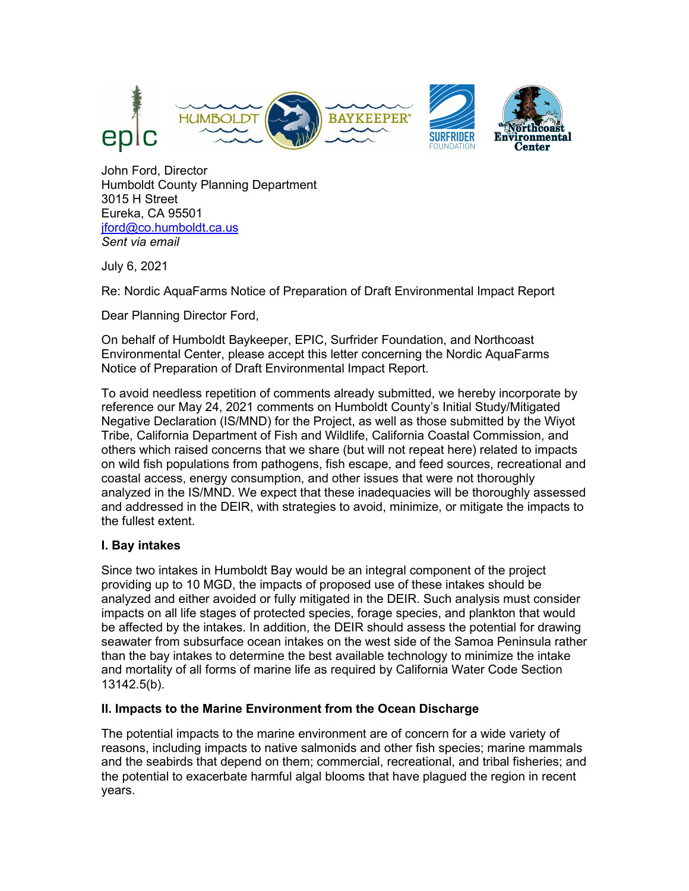

John Ford, Director Humboldt County Planning Department 3015 H Street Eureka, CA 95501 jford@co.humboldt.ca.us *Sent via email* 

July 6, 2021

Re: Nordic AquaFarms Notice of Preparation of Draft Environmental Impact Report

Dear Planning Director Ford,

On behalf of Humboldt Baykeeper, EPIC, Surfrider Foundation, and Northcoast Environmental Center, please accept this letter concerning the Nordic AquaFarms Notice of Preparation of Draft Environmental Impact Report.

To avoid needless repetition of comments already submitted, we hereby incorporate by reference our May 24, 2021 comments on Humboldt County's Initial Study/Mitigated Negative Declaration (IS/MND) for the Project, as well as those submitted by the Wiyot Tribe, California Department of Fish and Wildlife, California Coastal Commission, and others which raised concerns that we share (but will not repeat here) related to impacts on wild fish populations from pathogens, fish escape, and feed sources, recreational and coastal access, energy consumption, and other issues that were not thoroughly analyzed in the IS/MND. We expect that these inadequacies will be thoroughly assessed and addressed in the DEIR, with strategies to avoid, minimize, or mitigate the impacts to the fullest extent.

### **I. Bay intakes**

Since two intakes in Humboldt Bay would be an integral component of the project providing up to 10 MGD, the impacts of proposed use of these intakes should be analyzed and either avoided or fully mitigated in the DEIR. Such analysis must consider impacts on all life stages of protected species, forage species, and plankton that would be affected by the intakes. In addition, the DEIR should assess the potential for drawing seawater from subsurface ocean intakes on the west side of the Samoa Peninsula rather than the bay intakes to determine the best available technology to minimize the intake and mortality of all forms of marine life as required by California Water Code Section 13142.5(b).

### **II. Impacts to the Marine Environment from the Ocean Discharge**

The potential impacts to the marine environment are of concern for a wide variety of reasons, including impacts to native salmonids and other fish species; marine mammals and the seabirds that depend on them; commercial, recreational, and tribal fisheries; and the potential to exacerbate harmful algal blooms that have plagued the region in recent years.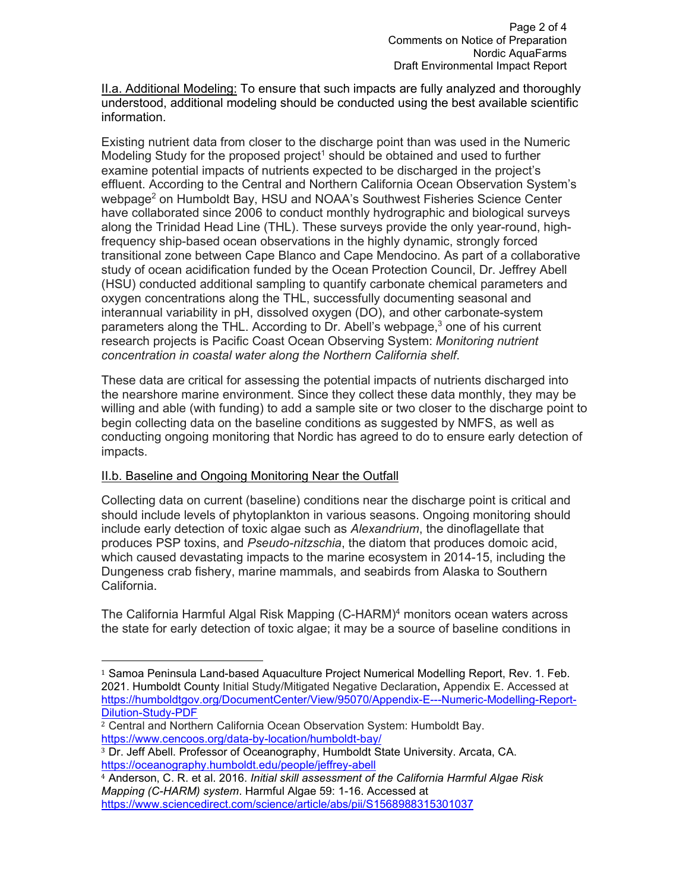II.a. Additional Modeling: To ensure that such impacts are fully analyzed and thoroughly understood, additional modeling should be conducted using the best available scientific information.

Existing nutrient data from closer to the discharge point than was used in the Numeric Modeling Study for the proposed project<sup>1</sup> should be obtained and used to further examine potential impacts of nutrients expected to be discharged in the project's effluent. According to the Central and Northern California Ocean Observation System's webpage<sup>2</sup> on Humboldt Bay, HSU and NOAA's Southwest Fisheries Science Center have collaborated since 2006 to conduct monthly hydrographic and biological surveys along the Trinidad Head Line (THL). These surveys provide the only year-round, highfrequency ship-based ocean observations in the highly dynamic, strongly forced transitional zone between Cape Blanco and Cape Mendocino. As part of a collaborative study of ocean acidification funded by the Ocean Protection Council, Dr. Jeffrey Abell (HSU) conducted additional sampling to quantify carbonate chemical parameters and oxygen concentrations along the THL, successfully documenting seasonal and interannual variability in pH, dissolved oxygen (DO), and other carbonate-system parameters along the THL. According to Dr. Abell's webpage, $3$  one of his current research projects is Pacific Coast Ocean Observing System: *Monitoring nutrient concentration in coastal water along the Northern California shelf*.

These data are critical for assessing the potential impacts of nutrients discharged into the nearshore marine environment. Since they collect these data monthly, they may be willing and able (with funding) to add a sample site or two closer to the discharge point to begin collecting data on the baseline conditions as suggested by NMFS, as well as conducting ongoing monitoring that Nordic has agreed to do to ensure early detection of impacts.

### II.b. Baseline and Ongoing Monitoring Near the Outfall

 

Collecting data on current (baseline) conditions near the discharge point is critical and should include levels of phytoplankton in various seasons. Ongoing monitoring should include early detection of toxic algae such as *Alexandrium*, the dinoflagellate that produces PSP toxins, and *Pseudo-nitzschia*, the diatom that produces domoic acid, which caused devastating impacts to the marine ecosystem in 2014-15, including the Dungeness crab fishery, marine mammals, and seabirds from Alaska to Southern California.

The California Harmful Algal Risk Mapping (C-HARM)<sup>4</sup> monitors ocean waters across the state for early detection of toxic algae; it may be a source of baseline conditions in

<sup>1</sup> Samoa Peninsula Land-based Aquaculture Project Numerical Modelling Report, Rev. 1. Feb. 2021. Humboldt County Initial Study/Mitigated Negative Declaration**,** Appendix E. Accessed at https://humboldtgov.org/DocumentCenter/View/95070/Appendix-E---Numeric-Modelling-Report-Dilution-Study-PDF

<sup>&</sup>lt;sup>2</sup> Central and Northern California Ocean Observation System: Humboldt Bay. https://www.cencoos.org/data-by-location/humboldt-bay/

<sup>3</sup> Dr. Jeff Abell. Professor of Oceanography, Humboldt State University. Arcata, CA. https://oceanography.humboldt.edu/people/jeffrey-abell

<sup>4</sup> Anderson, C. R. et al. 2016. *Initial skill assessment of the California Harmful Algae Risk Mapping (C-HARM) system*. Harmful Algae 59: 1-16. Accessed at https://www.sciencedirect.com/science/article/abs/pii/S1568988315301037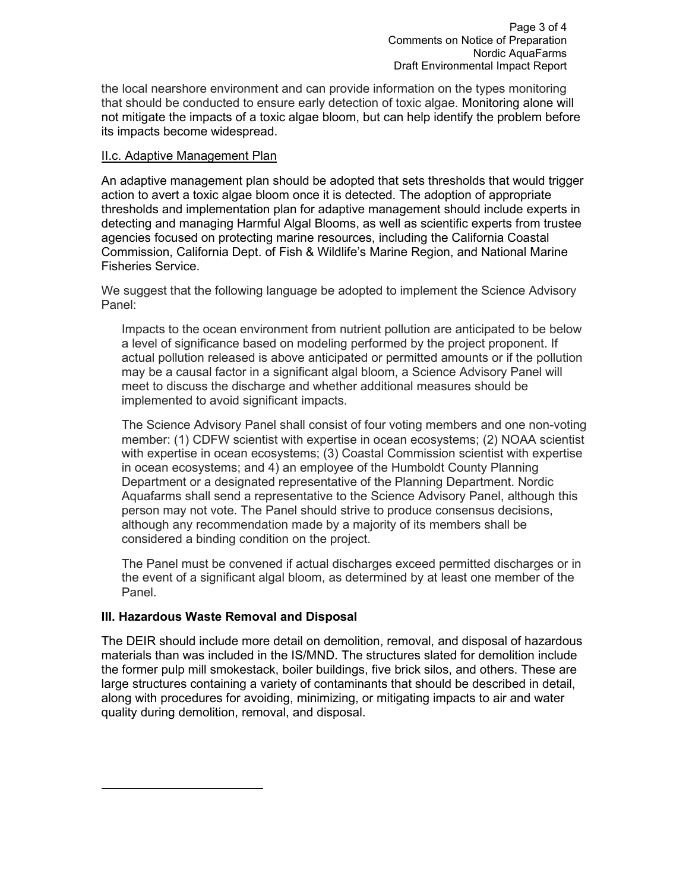the local nearshore environment and can provide information on the types monitoring that should be conducted to ensure early detection of toxic algae. Monitoring alone will not mitigate the impacts of a toxic algae bloom, but can help identify the problem before its impacts become widespread.

#### II.c. Adaptive Management Plan

An adaptive management plan should be adopted that sets thresholds that would trigger action to avert a toxic algae bloom once it is detected. The adoption of appropriate thresholds and implementation plan for adaptive management should include experts in detecting and managing Harmful Algal Blooms, as well as scientific experts from trustee agencies focused on protecting marine resources, including the California Coastal Commission, California Dept. of Fish & Wildlife's Marine Region, and National Marine Fisheries Service.

We suggest that the following language be adopted to implement the Science Advisory Panel:

Impacts to the ocean environment from nutrient pollution are anticipated to be below a level of significance based on modeling performed by the project proponent. If actual pollution released is above anticipated or permitted amounts or if the pollution may be a causal factor in a significant algal bloom, a Science Advisory Panel will meet to discuss the discharge and whether additional measures should be implemented to avoid significant impacts.

The Science Advisory Panel shall consist of four voting members and one non-voting member: (1) CDFW scientist with expertise in ocean ecosystems; (2) NOAA scientist with expertise in ocean ecosystems; (3) Coastal Commission scientist with expertise in ocean ecosystems; and 4) an employee of the Humboldt County Planning Department or a designated representative of the Planning Department. Nordic Aquafarms shall send a representative to the Science Advisory Panel, although this person may not vote. The Panel should strive to produce consensus decisions, although any recommendation made by a majority of its members shall be considered a binding condition on the project.

The Panel must be convened if actual discharges exceed permitted discharges or in the event of a significant algal bloom, as determined by at least one member of the Panel.

### **III. Hazardous Waste Removal and Disposal**

 

The DEIR should include more detail on demolition, removal, and disposal of hazardous materials than was included in the IS/MND. The structures slated for demolition include the former pulp mill smokestack, boiler buildings, five brick silos, and others. These are large structures containing a variety of contaminants that should be described in detail, along with procedures for avoiding, minimizing, or mitigating impacts to air and water quality during demolition, removal, and disposal.